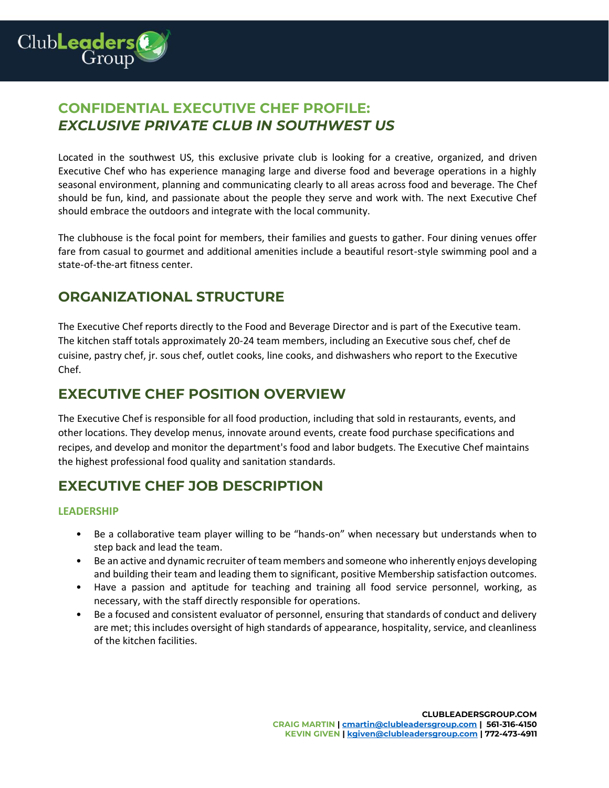

# **CONFIDENTIAL EXECUTIVE CHEF PROFILE:** *EXCLUSIVE PRIVATE CLUB IN SOUTHWEST US*

Located in the southwest US, this exclusive private club is looking for a creative, organized, and driven Executive Chef who has experience managing large and diverse food and beverage operations in a highly seasonal environment, planning and communicating clearly to all areas across food and beverage. The Chef should be fun, kind, and passionate about the people they serve and work with. The next Executive Chef should embrace the outdoors and integrate with the local community.

The clubhouse is the focal point for members, their families and guests to gather. Four dining venues offer fare from casual to gourmet and additional amenities include a beautiful resort-style swimming pool and a state-of-the-art fitness center.

# **ORGANIZATIONAL STRUCTURE**

The Executive Chef reports directly to the Food and Beverage Director and is part of the Executive team. The kitchen staff totals approximately 20-24 team members, including an Executive sous chef, chef de cuisine, pastry chef, jr. sous chef, outlet cooks, line cooks, and dishwashers who report to the Executive Chef.

### **EXECUTIVE CHEF POSITION OVERVIEW**

The Executive Chef is responsible for all food production, including that sold in restaurants, events, and other locations. They develop menus, innovate around events, create food purchase specifications and recipes, and develop and monitor the department's food and labor budgets. The Executive Chef maintains the highest professional food quality and sanitation standards.

# **EXECUTIVE CHEF JOB DESCRIPTION**

### **LEADERSHIP**

- Be a collaborative team player willing to be "hands-on" when necessary but understands when to step back and lead the team.
- Be an active and dynamic recruiter of team members and someone who inherently enjoys developing and building their team and leading them to significant, positive Membership satisfaction outcomes.
- Have a passion and aptitude for teaching and training all food service personnel, working, as necessary, with the staff directly responsible for operations.
- Be a focused and consistent evaluator of personnel, ensuring that standards of conduct and delivery are met; this includes oversight of high standards of appearance, hospitality, service, and cleanliness of the kitchen facilities.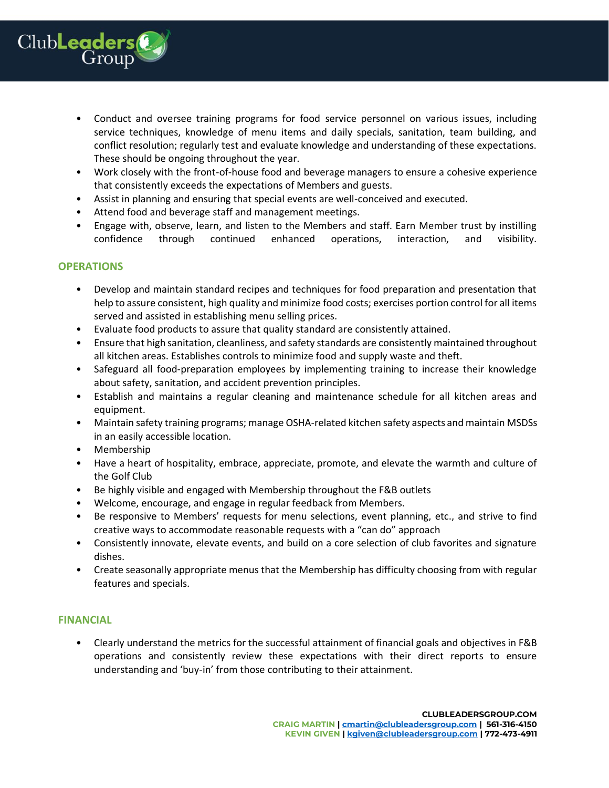

- Conduct and oversee training programs for food service personnel on various issues, including service techniques, knowledge of menu items and daily specials, sanitation, team building, and conflict resolution; regularly test and evaluate knowledge and understanding of these expectations. These should be ongoing throughout the year.
- Work closely with the front-of-house food and beverage managers to ensure a cohesive experience that consistently exceeds the expectations of Members and guests.
- Assist in planning and ensuring that special events are well-conceived and executed.
- Attend food and beverage staff and management meetings.
- Engage with, observe, learn, and listen to the Members and staff. Earn Member trust by instilling confidence through continued enhanced operations, interaction, and visibility.

#### **OPERATIONS**

- Develop and maintain standard recipes and techniques for food preparation and presentation that help to assure consistent, high quality and minimize food costs; exercises portion control for all items served and assisted in establishing menu selling prices.
- Evaluate food products to assure that quality standard are consistently attained.
- Ensure that high sanitation, cleanliness, and safety standards are consistently maintained throughout all kitchen areas. Establishes controls to minimize food and supply waste and theft.
- Safeguard all food-preparation employees by implementing training to increase their knowledge about safety, sanitation, and accident prevention principles.
- Establish and maintains a regular cleaning and maintenance schedule for all kitchen areas and equipment.
- Maintain safety training programs; manage OSHA-related kitchen safety aspects and maintain MSDSs in an easily accessible location.
- Membership
- Have a heart of hospitality, embrace, appreciate, promote, and elevate the warmth and culture of the Golf Club
- Be highly visible and engaged with Membership throughout the F&B outlets
- Welcome, encourage, and engage in regular feedback from Members.
- Be responsive to Members' requests for menu selections, event planning, etc., and strive to find creative ways to accommodate reasonable requests with a "can do" approach
- Consistently innovate, elevate events, and build on a core selection of club favorites and signature dishes.
- Create seasonally appropriate menus that the Membership has difficulty choosing from with regular features and specials.

#### **FINANCIAL**

• Clearly understand the metrics for the successful attainment of financial goals and objectives in F&B operations and consistently review these expectations with their direct reports to ensure understanding and 'buy-in' from those contributing to their attainment.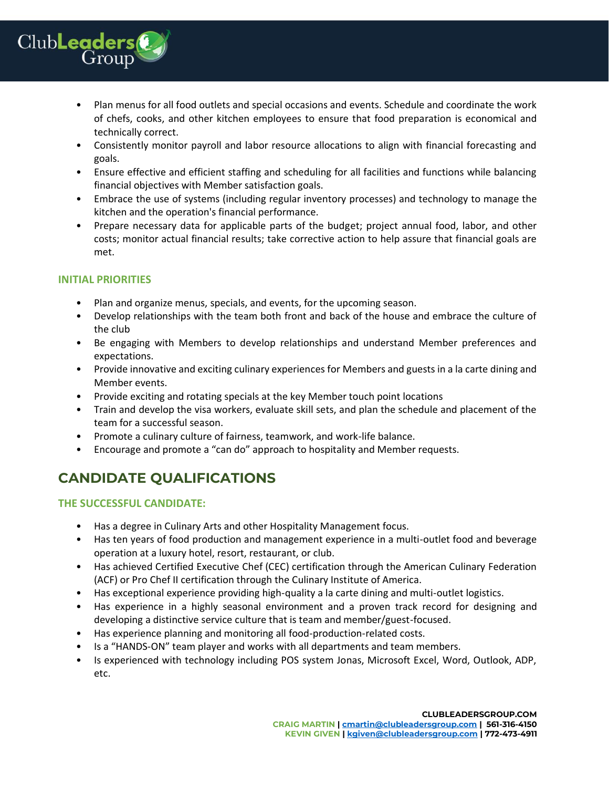

- Plan menus for all food outlets and special occasions and events. Schedule and coordinate the work of chefs, cooks, and other kitchen employees to ensure that food preparation is economical and technically correct.
- Consistently monitor payroll and labor resource allocations to align with financial forecasting and goals.
- Ensure effective and efficient staffing and scheduling for all facilities and functions while balancing financial objectives with Member satisfaction goals.
- Embrace the use of systems (including regular inventory processes) and technology to manage the kitchen and the operation's financial performance.
- Prepare necessary data for applicable parts of the budget; project annual food, labor, and other costs; monitor actual financial results; take corrective action to help assure that financial goals are met.

### **INITIAL PRIORITIES**

- Plan and organize menus, specials, and events, for the upcoming season.
- Develop relationships with the team both front and back of the house and embrace the culture of the club
- Be engaging with Members to develop relationships and understand Member preferences and expectations.
- Provide innovative and exciting culinary experiences for Members and guests in a la carte dining and Member events.
- Provide exciting and rotating specials at the key Member touch point locations
- Train and develop the visa workers, evaluate skill sets, and plan the schedule and placement of the team for a successful season.
- Promote a culinary culture of fairness, teamwork, and work-life balance.
- Encourage and promote a "can do" approach to hospitality and Member requests.

# **CANDIDATE QUALIFICATIONS**

### **THE SUCCESSFUL CANDIDATE:**

- Has a degree in Culinary Arts and other Hospitality Management focus.
- Has ten years of food production and management experience in a multi-outlet food and beverage operation at a luxury hotel, resort, restaurant, or club.
- Has achieved Certified Executive Chef (CEC) certification through the American Culinary Federation (ACF) or Pro Chef II certification through the Culinary Institute of America.
- Has exceptional experience providing high-quality a la carte dining and multi-outlet logistics.
- Has experience in a highly seasonal environment and a proven track record for designing and developing a distinctive service culture that is team and member/guest-focused.
- Has experience planning and monitoring all food-production-related costs.
- Is a "HANDS-ON" team player and works with all departments and team members.
- Is experienced with technology including POS system Jonas, Microsoft Excel, Word, Outlook, ADP, etc.